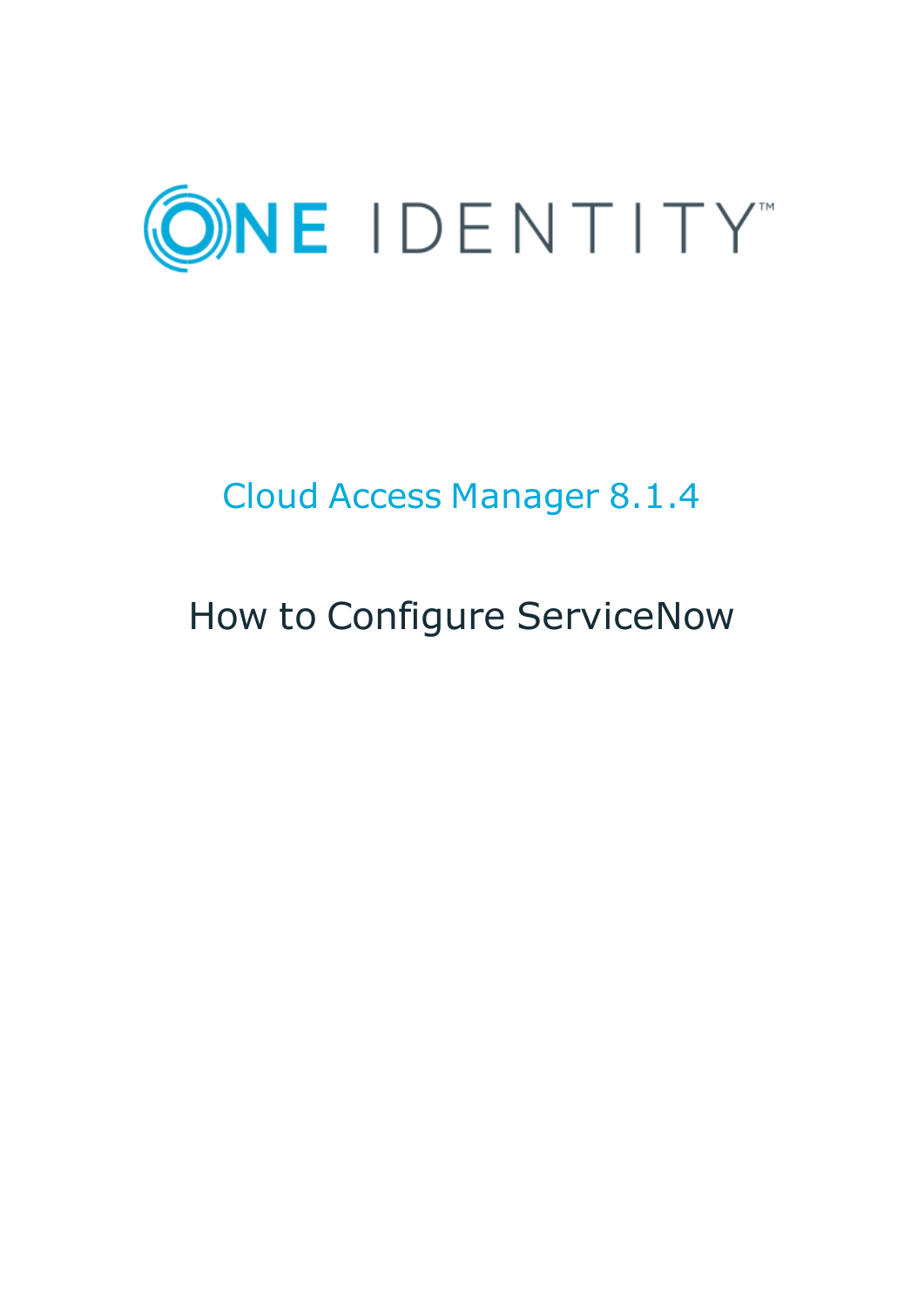

# Cloud Access Manager 8.1.4

# How to Configure ServiceNow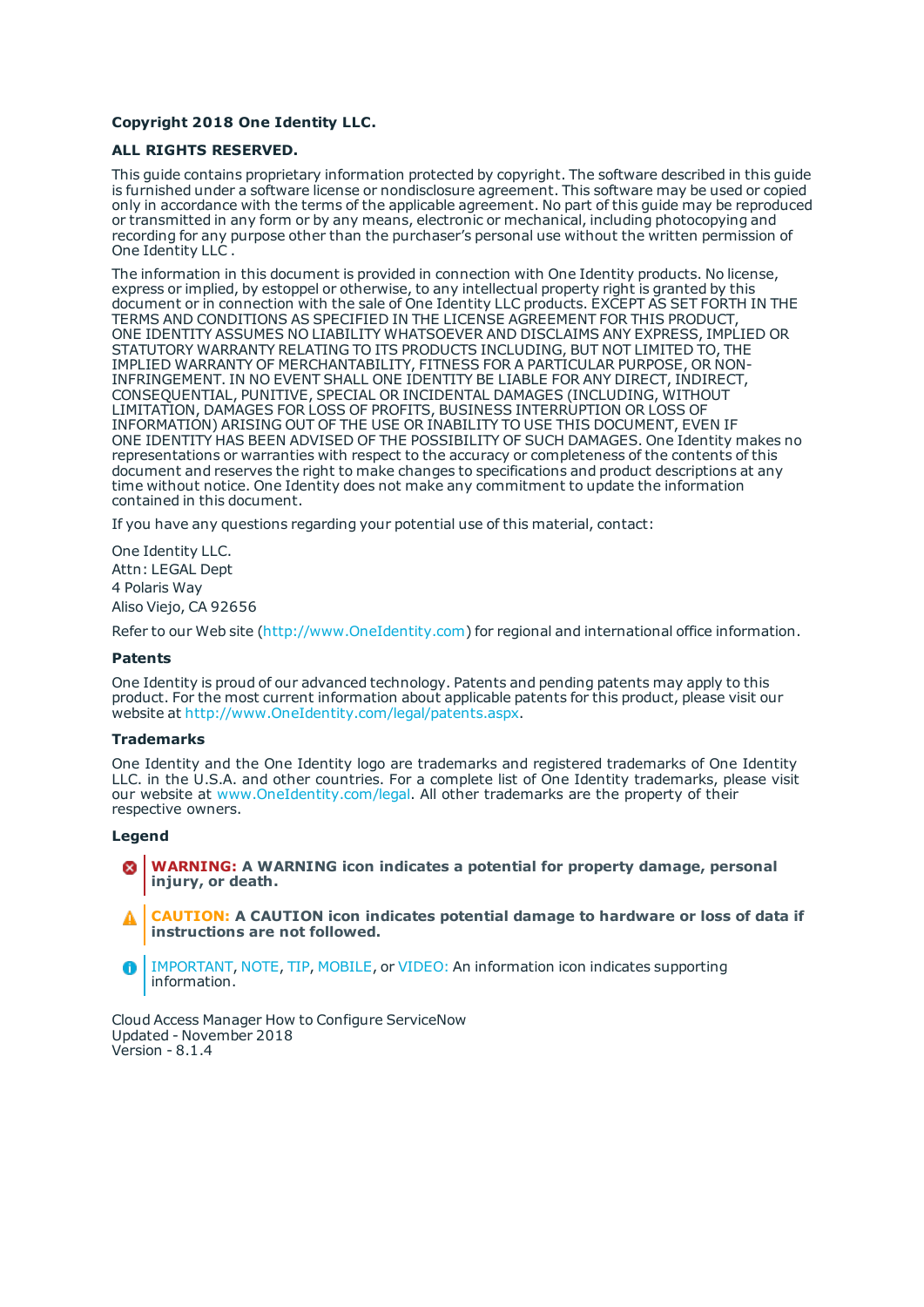### **Copyright 2018 One Identity LLC.**

### **ALL RIGHTS RESERVED.**

This guide contains proprietary information protected by copyright. The software described in this guide is furnished under a software license or nondisclosure agreement. This software may be used or copied only in accordance with the terms of the applicable agreement. No part of this guide may be reproduced or transmitted in any form or by any means, electronic or mechanical, including photocopying and recording for any purpose other than the purchaser's personal use without the written permission of One Identity LLC .

The information in this document is provided in connection with One Identity products. No license, express or implied, by estoppel or otherwise, to any intellectual property right is granted by this document or in connection with the sale of One Identity LLC products. EXCEPT AS SET FORTH IN THE TERMS AND CONDITIONS AS SPECIFIED IN THE LICENSE AGREEMENT FOR THIS PRODUCT, ONE IDENTITY ASSUMES NO LIABILITY WHATSOEVER AND DISCLAIMS ANY EXPRESS, IMPLIED OR STATUTORY WARRANTY RELATING TO ITS PRODUCTS INCLUDING, BUT NOT LIMITED TO, THE IMPLIED WARRANTY OF MERCHANTABILITY, FITNESS FOR A PARTICULAR PURPOSE, OR NON-INFRINGEMENT. IN NO EVENT SHALL ONE IDENTITY BE LIABLE FOR ANY DIRECT, INDIRECT, CONSEQUENTIAL, PUNITIVE, SPECIAL OR INCIDENTAL DAMAGES (INCLUDING, WITHOUT LIMITATION, DAMAGES FOR LOSS OF PROFITS, BUSINESS INTERRUPTION OR LOSS OF INFORMATION) ARISING OUT OF THE USE OR INABILITY TO USE THIS DOCUMENT, EVEN IF ONE IDENTITY HAS BEEN ADVISED OF THE POSSIBILITY OF SUCH DAMAGES. One Identity makes no representations or warranties with respect to the accuracy or completeness of the contents of this document and reserves the right to make changes to specifications and product descriptions at any time without notice. One Identity does not make any commitment to update the information contained in this document.

If you have any questions regarding your potential use of this material, contact:

One Identity LLC. Attn: LEGAL Dept 4 Polaris Way Aliso Viejo, CA 92656

Refer to our Web site ([http://www.OneIdentity.com](http://www.oneidentity.com/)) for regional and international office information.

### **Patents**

One Identity is proud of our advanced technology. Patents and pending patents may apply to this product. For the most current information about applicable patents for this product, please visit our website at [http://www.OneIdentity.com/legal/patents.aspx](http://www.oneidentity.com/legal/patents.aspx).

#### **Trademarks**

One Identity and the One Identity logo are trademarks and registered trademarks of One Identity LLC. in the U.S.A. and other countries. For a complete list of One Identity trademarks, please visit our website at [www.OneIdentity.com/legal](http://www.oneidentity.com/legal). All other trademarks are the property of their respective owners.

#### **Legend**

- **WARNING: A WARNING icon indicates a potential for property damage, personal injury, or death.**
- **CAUTION: A CAUTION icon indicates potential damage to hardware or loss of data if instructions are not followed.**
- IMPORTANT, NOTE, TIP, MOBILE, or VIDEO: An information icon indicates supporting Œ information.

Cloud Access Manager How to Configure ServiceNow Updated - November 2018 Version - 8.1.4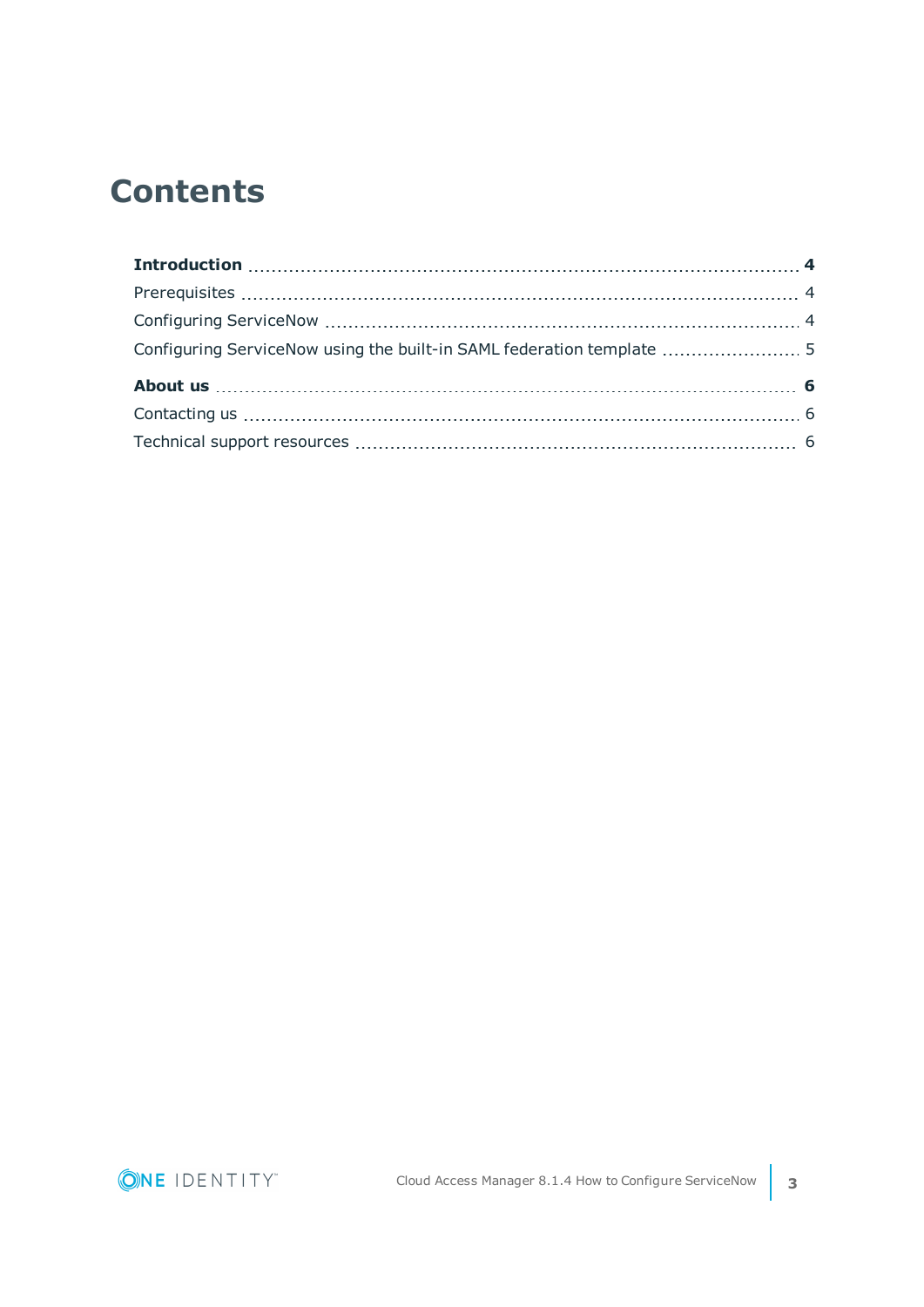## **Contents**

| Configuring ServiceNow using the built-in SAML federation template  5 |  |
|-----------------------------------------------------------------------|--|
|                                                                       |  |
|                                                                       |  |
|                                                                       |  |

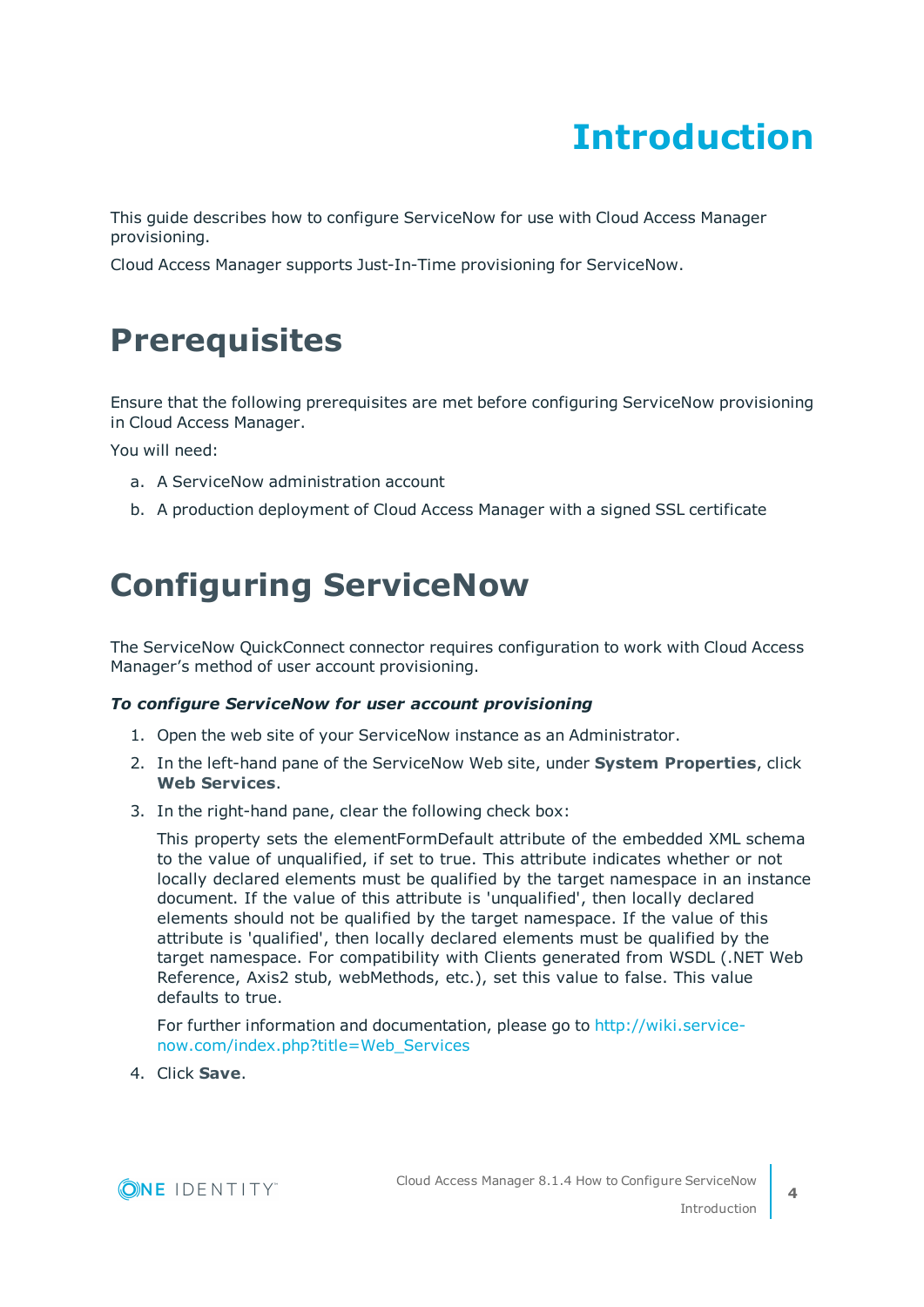# **Introduction**

<span id="page-3-0"></span>This guide describes how to configure ServiceNow for use with Cloud Access Manager provisioning.

<span id="page-3-1"></span>Cloud Access Manager supports Just-In-Time provisioning for ServiceNow.

### **Prerequisites**

Ensure that the following prerequisites are met before configuring ServiceNow provisioning in Cloud Access Manager.

You will need:

- a. A ServiceNow administration account
- <span id="page-3-2"></span>b. A production deployment of Cloud Access Manager with a signed SSL certificate

### **Configuring ServiceNow**

The ServiceNow QuickConnect connector requires configuration to work with Cloud Access Manager's method of user account provisioning.

### *To configure ServiceNow for user account provisioning*

- 1. Open the web site of your ServiceNow instance as an Administrator.
- 2. In the left-hand pane of the ServiceNow Web site, under **System Properties**, click **Web Services**.
- 3. In the right-hand pane, clear the following check box:

This property sets the elementFormDefault attribute of the embedded XML schema to the value of unqualified, if set to true. This attribute indicates whether or not locally declared elements must be qualified by the target namespace in an instance document. If the value of this attribute is 'unqualified', then locally declared elements should not be qualified by the target namespace. If the value of this attribute is 'qualified', then locally declared elements must be qualified by the target namespace. For compatibility with Clients generated from WSDL (.NET Web Reference, Axis2 stub, webMethods, etc.), set this value to false. This value defaults to true.

For further information and documentation, please go to [http://wiki.service](http://wiki.service-now.com/index.php?title=Web_Services)[now.com/index.php?title=Web\\_Services](http://wiki.service-now.com/index.php?title=Web_Services)

4. Click **Save**.

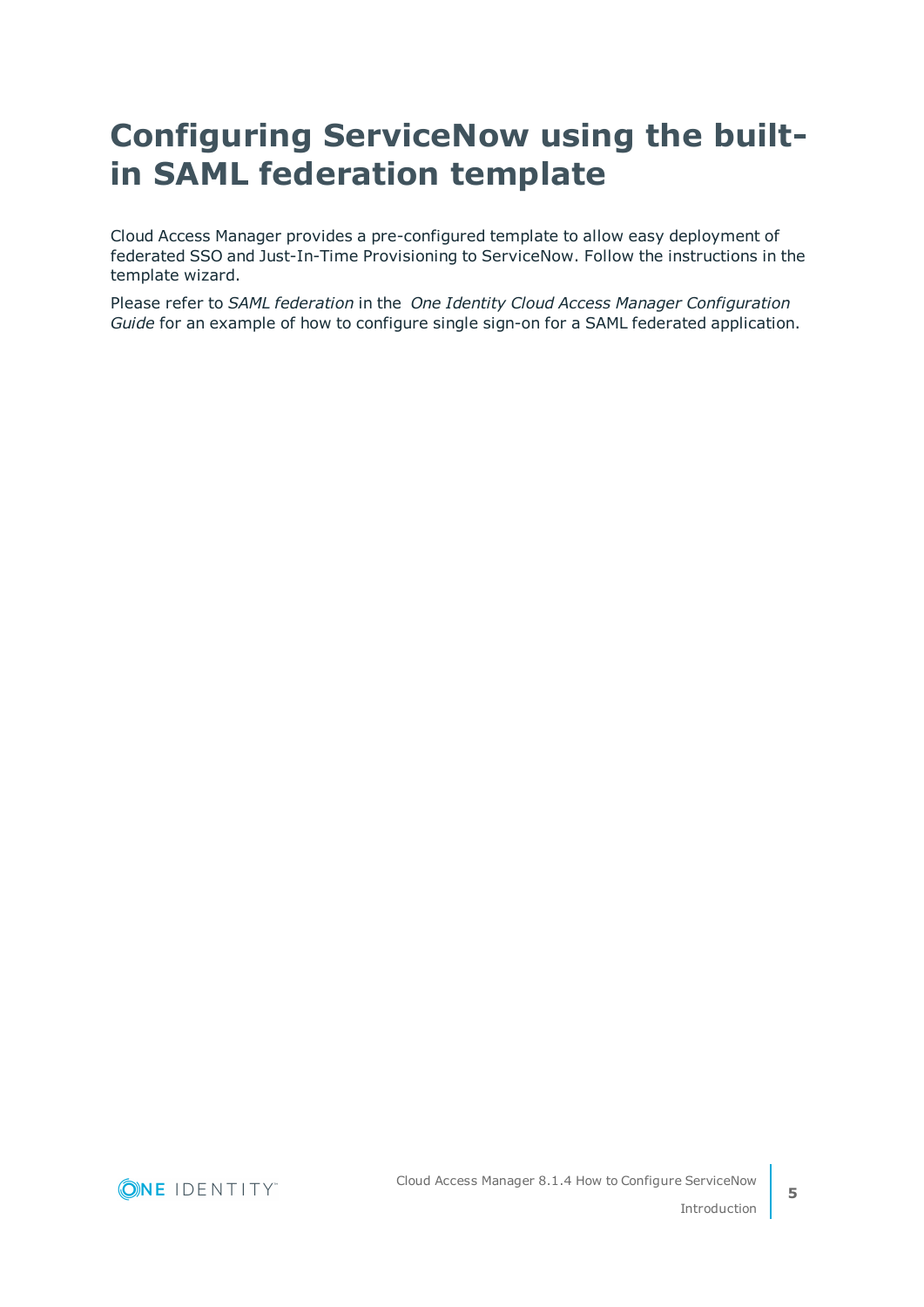## <span id="page-4-0"></span>**Configuring ServiceNow using the builtin SAML federation template**

Cloud Access Manager provides a pre-configured template to allow easy deployment of federated SSO and Just-In-Time Provisioning to ServiceNow. Follow the instructions in the template wizard.

Please refer to *SAML federation* in the *One Identity Cloud Access Manager Configuration Guide* for an example of how to configure single sign-on for a SAML federated application.